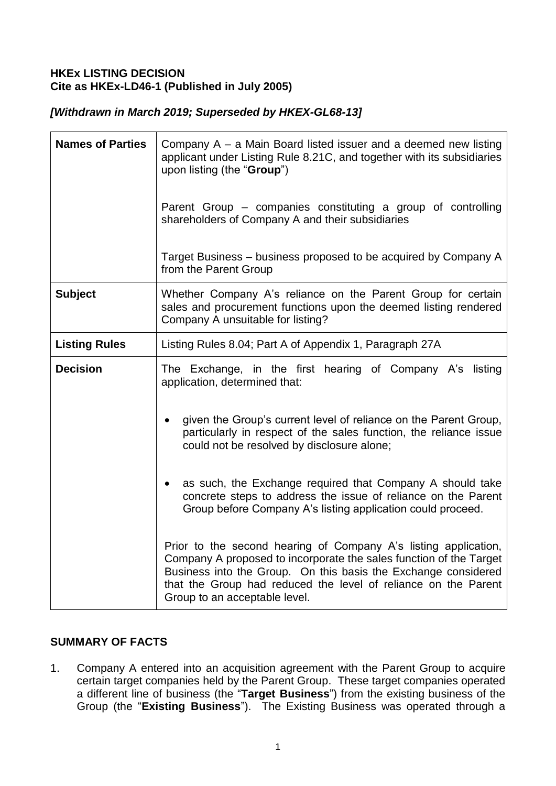# **HKEx LISTING DECISION Cite as HKEx-LD46-1 (Published in July 2005)**

# *[Withdrawn in March 2019; Superseded by HKEX-GL68-13]*

| <b>Names of Parties</b> | Company A – a Main Board listed issuer and a deemed new listing<br>applicant under Listing Rule 8.21C, and together with its subsidiaries<br>upon listing (the "Group")                                                                                                                                    |
|-------------------------|------------------------------------------------------------------------------------------------------------------------------------------------------------------------------------------------------------------------------------------------------------------------------------------------------------|
|                         | Parent Group – companies constituting a group of controlling<br>shareholders of Company A and their subsidiaries                                                                                                                                                                                           |
|                         | Target Business - business proposed to be acquired by Company A<br>from the Parent Group                                                                                                                                                                                                                   |
| <b>Subject</b>          | Whether Company A's reliance on the Parent Group for certain<br>sales and procurement functions upon the deemed listing rendered<br>Company A unsuitable for listing?                                                                                                                                      |
| <b>Listing Rules</b>    | Listing Rules 8.04; Part A of Appendix 1, Paragraph 27A                                                                                                                                                                                                                                                    |
| <b>Decision</b>         | The Exchange, in the first hearing of Company A's listing<br>application, determined that:                                                                                                                                                                                                                 |
|                         | given the Group's current level of reliance on the Parent Group,<br>particularly in respect of the sales function, the reliance issue<br>could not be resolved by disclosure alone;                                                                                                                        |
|                         | as such, the Exchange required that Company A should take<br>concrete steps to address the issue of reliance on the Parent<br>Group before Company A's listing application could proceed.                                                                                                                  |
|                         | Prior to the second hearing of Company A's listing application,<br>Company A proposed to incorporate the sales function of the Target<br>Business into the Group. On this basis the Exchange considered<br>that the Group had reduced the level of reliance on the Parent<br>Group to an acceptable level. |

# **SUMMARY OF FACTS**

1. Company A entered into an acquisition agreement with the Parent Group to acquire certain target companies held by the Parent Group. These target companies operated a different line of business (the "**Target Business**") from the existing business of the Group (the "**Existing Business**"). The Existing Business was operated through a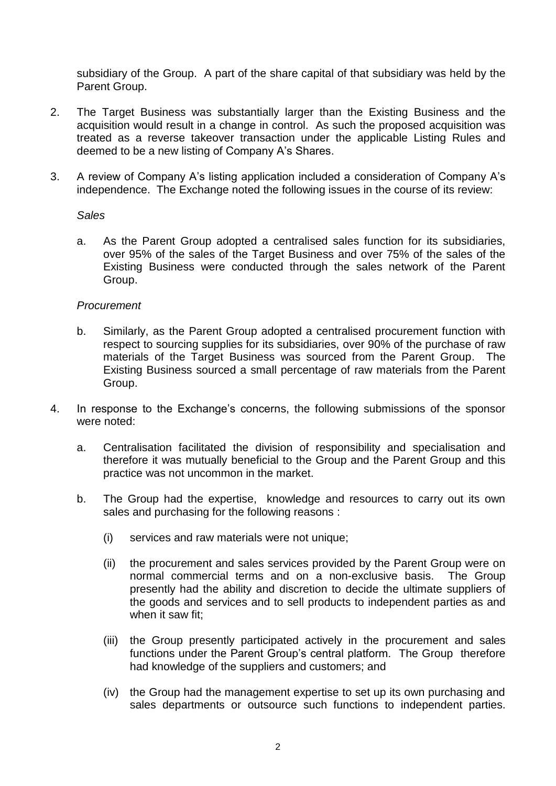subsidiary of the Group. A part of the share capital of that subsidiary was held by the Parent Group.

- 2. The Target Business was substantially larger than the Existing Business and the acquisition would result in a change in control. As such the proposed acquisition was treated as a reverse takeover transaction under the applicable Listing Rules and deemed to be a new listing of Company A's Shares.
- 3. A review of Company A's listing application included a consideration of Company A's independence. The Exchange noted the following issues in the course of its review:

#### *Sales*

a. As the Parent Group adopted a centralised sales function for its subsidiaries, over 95% of the sales of the Target Business and over 75% of the sales of the Existing Business were conducted through the sales network of the Parent Group.

#### *Procurement*

- b. Similarly, as the Parent Group adopted a centralised procurement function with respect to sourcing supplies for its subsidiaries, over 90% of the purchase of raw materials of the Target Business was sourced from the Parent Group. The Existing Business sourced a small percentage of raw materials from the Parent Group.
- 4. In response to the Exchange's concerns, the following submissions of the sponsor were noted:
	- a. Centralisation facilitated the division of responsibility and specialisation and therefore it was mutually beneficial to the Group and the Parent Group and this practice was not uncommon in the market.
	- b. The Group had the expertise, knowledge and resources to carry out its own sales and purchasing for the following reasons :
		- (i) services and raw materials were not unique;
		- (ii) the procurement and sales services provided by the Parent Group were on normal commercial terms and on a non-exclusive basis. The Group presently had the ability and discretion to decide the ultimate suppliers of the goods and services and to sell products to independent parties as and when it saw fit;
		- (iii) the Group presently participated actively in the procurement and sales functions under the Parent Group's central platform. The Group therefore had knowledge of the suppliers and customers; and
		- (iv) the Group had the management expertise to set up its own purchasing and sales departments or outsource such functions to independent parties.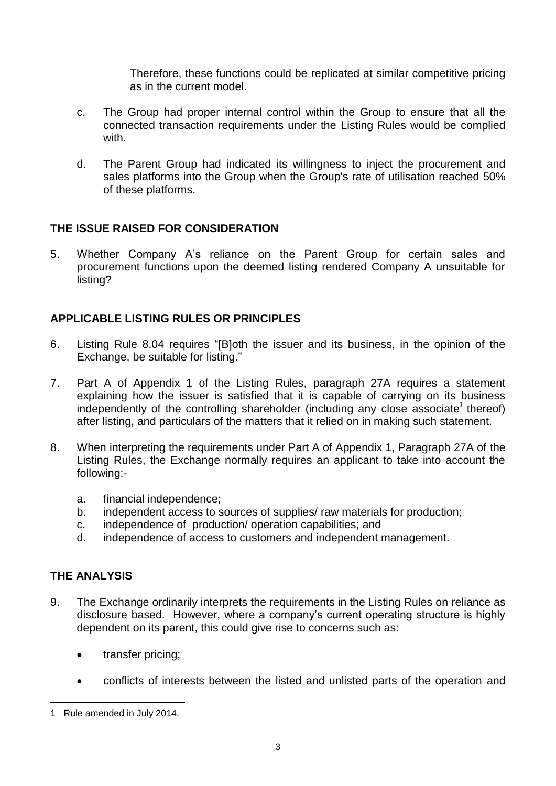Therefore, these functions could be replicated at similar competitive pricing as in the current model.

- c. The Group had proper internal control within the Group to ensure that all the connected transaction requirements under the Listing Rules would be complied with.
- d. The Parent Group had indicated its willingness to inject the procurement and sales platforms into the Group when the Group's rate of utilisation reached 50% of these platforms.

### **THE ISSUE RAISED FOR CONSIDERATION**

5. Whether Company A's reliance on the Parent Group for certain sales and procurement functions upon the deemed listing rendered Company A unsuitable for listing?

### **APPLICABLE LISTING RULES OR PRINCIPLES**

- 6. Listing Rule 8.04 requires "[B]oth the issuer and its business, in the opinion of the Exchange, be suitable for listing."
- 7. Part A of Appendix 1 of the Listing Rules, paragraph 27A requires a statement explaining how the issuer is satisfied that it is capable of carrying on its business independently of the controlling shareholder (including any close associate<sup>1</sup> thereof) after listing, and particulars of the matters that it relied on in making such statement.
- 8. When interpreting the requirements under Part A of Appendix 1, Paragraph 27A of the Listing Rules, the Exchange normally requires an applicant to take into account the following:
	- a. financial independence;
	- b. independent access to sources of supplies/ raw materials for production;
	- c. independence of production/ operation capabilities; and
	- d. independence of access to customers and independent management.

#### **THE ANALYSIS**

1

- 9. The Exchange ordinarily interprets the requirements in the Listing Rules on reliance as disclosure based. However, where a company's current operating structure is highly dependent on its parent, this could give rise to concerns such as:
	- transfer pricing:
	- conflicts of interests between the listed and unlisted parts of the operation and

<sup>1</sup> Rule amended in July 2014.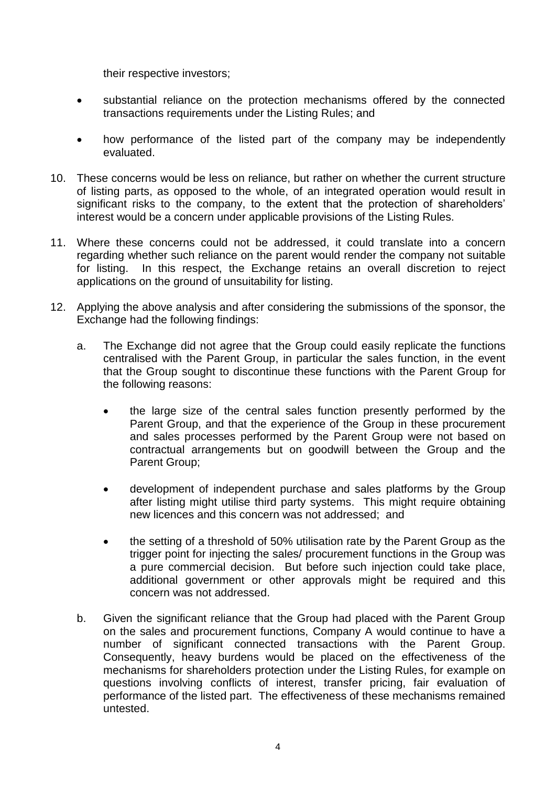their respective investors;

- substantial reliance on the protection mechanisms offered by the connected transactions requirements under the Listing Rules; and
- how performance of the listed part of the company may be independently evaluated.
- 10. These concerns would be less on reliance, but rather on whether the current structure of listing parts, as opposed to the whole, of an integrated operation would result in significant risks to the company, to the extent that the protection of shareholders' interest would be a concern under applicable provisions of the Listing Rules.
- 11. Where these concerns could not be addressed, it could translate into a concern regarding whether such reliance on the parent would render the company not suitable for listing. In this respect, the Exchange retains an overall discretion to reject applications on the ground of unsuitability for listing.
- 12. Applying the above analysis and after considering the submissions of the sponsor, the Exchange had the following findings:
	- a. The Exchange did not agree that the Group could easily replicate the functions centralised with the Parent Group, in particular the sales function, in the event that the Group sought to discontinue these functions with the Parent Group for the following reasons:
		- the large size of the central sales function presently performed by the Parent Group, and that the experience of the Group in these procurement and sales processes performed by the Parent Group were not based on contractual arrangements but on goodwill between the Group and the Parent Group;
		- development of independent purchase and sales platforms by the Group after listing might utilise third party systems. This might require obtaining new licences and this concern was not addressed; and
		- the setting of a threshold of 50% utilisation rate by the Parent Group as the trigger point for injecting the sales/ procurement functions in the Group was a pure commercial decision. But before such injection could take place, additional government or other approvals might be required and this concern was not addressed.
	- b. Given the significant reliance that the Group had placed with the Parent Group on the sales and procurement functions, Company A would continue to have a number of significant connected transactions with the Parent Group. Consequently, heavy burdens would be placed on the effectiveness of the mechanisms for shareholders protection under the Listing Rules, for example on questions involving conflicts of interest, transfer pricing, fair evaluation of performance of the listed part. The effectiveness of these mechanisms remained untested.